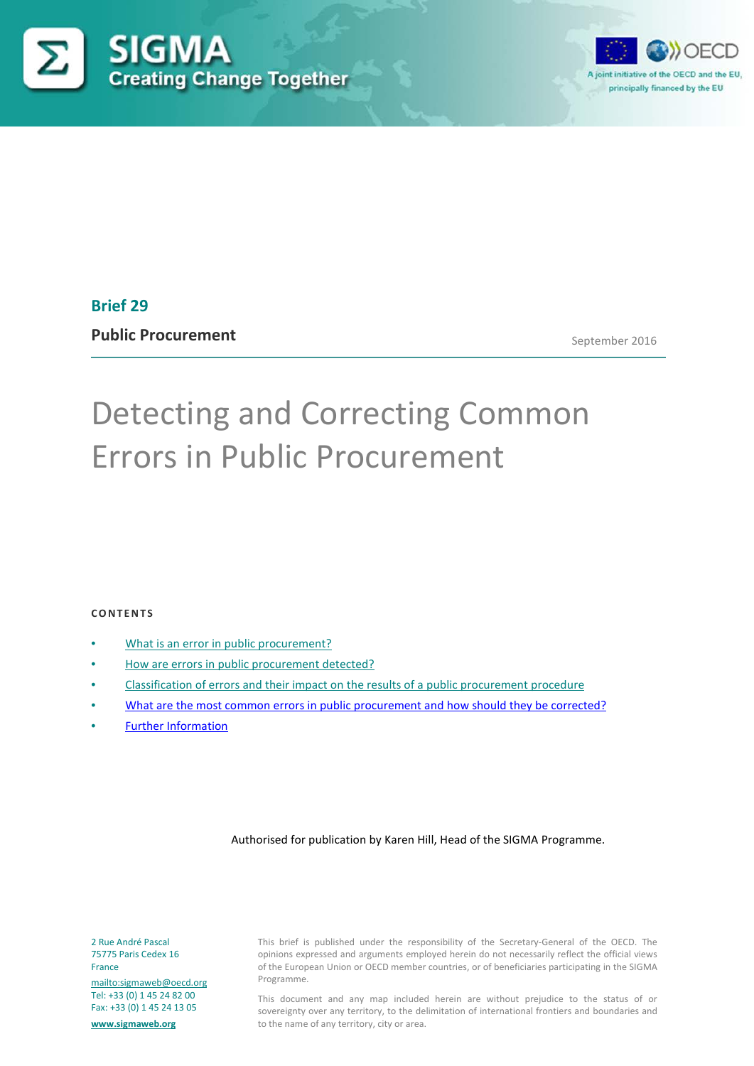



# **Brief 29**

**Public Procurement**

September 2016

# Detecting and Correcting Common Errors in Public Procurement

#### **CONTENTS**

- [What is an error in public procurement?](#page-1-0)
- [How are errors in public procurement detected?](#page-1-1)
- Classification [of errors and their impact on the results of a public procurement procedure](#page-1-2)
- [What are the most common errors in public](#page-3-0) procurement and how should they be corrected?
- [Further Information](#page-14-0)

#### Authorised for publication by Karen Hill, Head of the SIGMA Programme.

2 Rue André Pascal 75775 Paris Cedex 16 France

<mailto:sigmaweb@oecd.org> Tel: +33 (0) 1 45 24 82 00 Fax: +33 (0) 1 45 24 13 05

**[www.sigmaweb.org](http://www.sigmaweb.org/)**

This brief is published under the responsibility of the Secretary-General of the OECD. The opinions expressed and arguments employed herein do not necessarily reflect the official views of the European Union or OECD member countries, or of beneficiaries participating in the SIGMA Programme.

This document and any map included herein are without prejudice to the status of or sovereignty over any territory, to the delimitation of international frontiers and boundaries and to the name of any territory, city or area.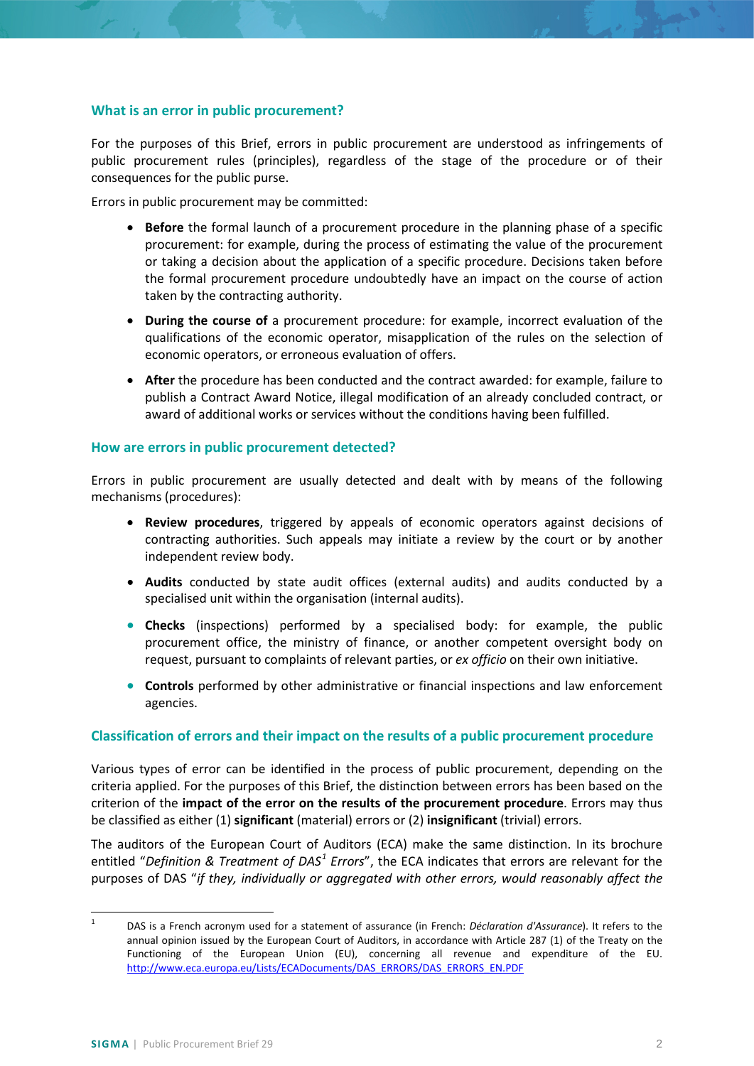## <span id="page-1-0"></span>**What is an error in public procurement?**

For the purposes of this Brief, errors in public procurement are understood as infringements of public procurement rules (principles), regardless of the stage of the procedure or of their consequences for the public purse.

Errors in public procurement may be committed:

- **Before** the formal launch of a procurement procedure in the planning phase of a specific procurement: for example, during the process of estimating the value of the procurement or taking a decision about the application of a specific procedure. Decisions taken before the formal procurement procedure undoubtedly have an impact on the course of action taken by the contracting authority.
- **During the course of** a procurement procedure: for example, incorrect evaluation of the qualifications of the economic operator, misapplication of the rules on the selection of economic operators, or erroneous evaluation of offers.
- **After** the procedure has been conducted and the contract awarded: for example, failure to publish a Contract Award Notice, illegal modification of an already concluded contract, or award of additional works or services without the conditions having been fulfilled.

## <span id="page-1-1"></span>**How are errors in public procurement detected?**

Errors in public procurement are usually detected and dealt with by means of the following mechanisms (procedures):

- **Review procedures**, triggered by appeals of economic operators against decisions of contracting authorities. Such appeals may initiate a review by the court or by another independent review body.
- **Audits** conducted by state audit offices (external audits) and audits conducted by a specialised unit within the organisation (internal audits).
- **Checks** (inspections) performed by a specialised body: for example, the public procurement office, the ministry of finance, or another competent oversight body on request, pursuant to complaints of relevant parties, or *ex officio* on their own initiative.
- **Controls** performed by other administrative or financial inspections and law enforcement agencies.

## <span id="page-1-2"></span>**Classification of errors and their impact on the results of a public procurement procedure**

Various types of error can be identified in the process of public procurement, depending on the criteria applied. For the purposes of this Brief, the distinction between errors has been based on the criterion of the **impact of the error on the results of the procurement procedure**. Errors may thus be classified as either (1) **significant** (material) errors or (2) **insignificant** (trivial) errors.

The auditors of the European Court of Auditors (ECA) make the same distinction. In its brochure entitled "*Definition & Treatment of DAS[1](#page-1-3) Errors*", the ECA indicates that errors are relevant for the purposes of DAS "*if they, individually or aggregated with other errors, would reasonably affect the* 

<span id="page-1-3"></span> <sup>1</sup> DAS is a French acronym used for a statement of assurance (in French: *Déclaration d'Assurance*). It refers to the annual opinion issued by the European Court of Auditors, in accordance with Article 287 (1) of the Treaty on the Functioning of the European Union (EU), concerning all revenue and expenditure of the EU. [http://www.eca.europa.eu/Lists/ECADocuments/DAS\\_ERRORS/DAS\\_ERRORS\\_EN.PDF](http://www.eca.europa.eu/Lists/ECADocuments/DAS_ERRORS/DAS_ERRORS_EN.PDF)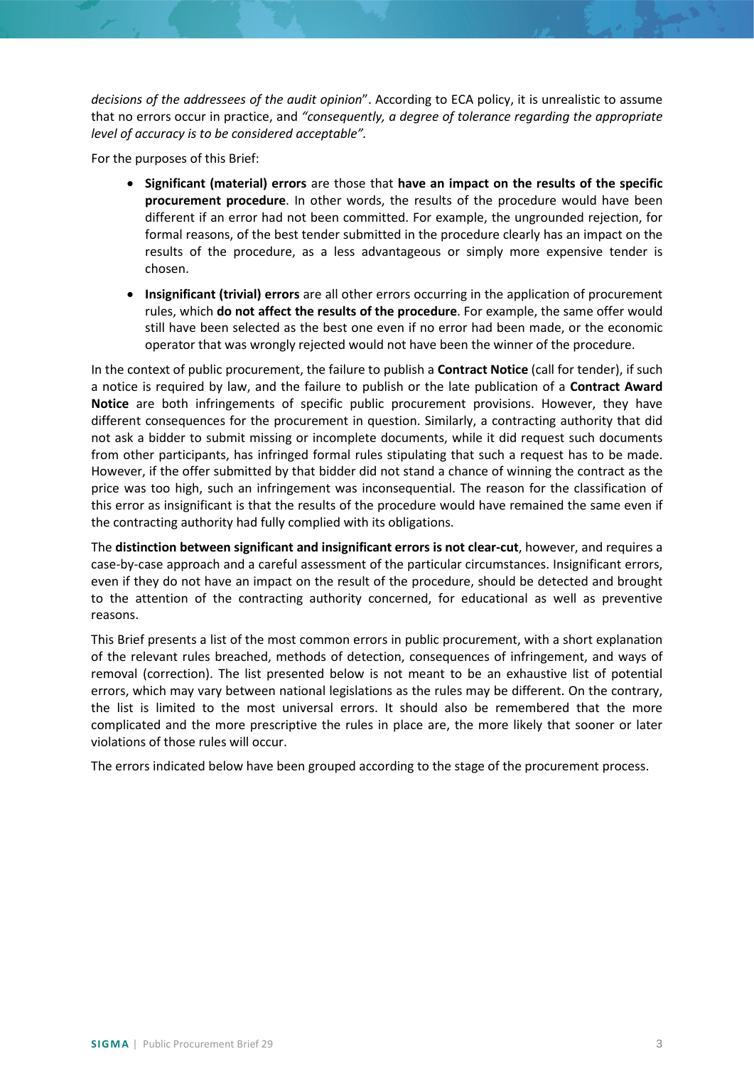*decisions of the addressees of the audit opinion*". According to ECA policy, it is unrealistic to assume that no errors occur in practice, and *"consequently, a degree of tolerance regarding the appropriate level of accuracy is to be considered acceptable".*

For the purposes of this Brief:

- **Significant (material) errors** are those that **have an impact on the results of the specific procurement procedure**. In other words, the results of the procedure would have been different if an error had not been committed. For example, the ungrounded rejection, for formal reasons, of the best tender submitted in the procedure clearly has an impact on the results of the procedure, as a less advantageous or simply more expensive tender is chosen.
- **Insignificant (trivial) errors** are all other errors occurring in the application of procurement rules, which **do not affect the results of the procedure**. For example, the same offer would still have been selected as the best one even if no error had been made, or the economic operator that was wrongly rejected would not have been the winner of the procedure.

In the context of public procurement, the failure to publish a **Contract Notice** (call for tender), if such a notice is required by law, and the failure to publish or the late publication of a **Contract Award Notice** are both infringements of specific public procurement provisions. However, they have different consequences for the procurement in question. Similarly, a contracting authority that did not ask a bidder to submit missing or incomplete documents, while it did request such documents from other participants, has infringed formal rules stipulating that such a request has to be made. However, if the offer submitted by that bidder did not stand a chance of winning the contract as the price was too high, such an infringement was inconsequential. The reason for the classification of this error as insignificant is that the results of the procedure would have remained the same even if the contracting authority had fully complied with its obligations.

The **distinction between significant and insignificant errors is not clear-cut**, however, and requires a case-by-case approach and a careful assessment of the particular circumstances. Insignificant errors, even if they do not have an impact on the result of the procedure, should be detected and brought to the attention of the contracting authority concerned, for educational as well as preventive reasons.

This Brief presents a list of the most common errors in public procurement, with a short explanation of the relevant rules breached, methods of detection, consequences of infringement, and ways of removal (correction). The list presented below is not meant to be an exhaustive list of potential errors, which may vary between national legislations as the rules may be different. On the contrary, the list is limited to the most universal errors. It should also be remembered that the more complicated and the more prescriptive the rules in place are, the more likely that sooner or later violations of those rules will occur.

The errors indicated below have been grouped according to the stage of the procurement process.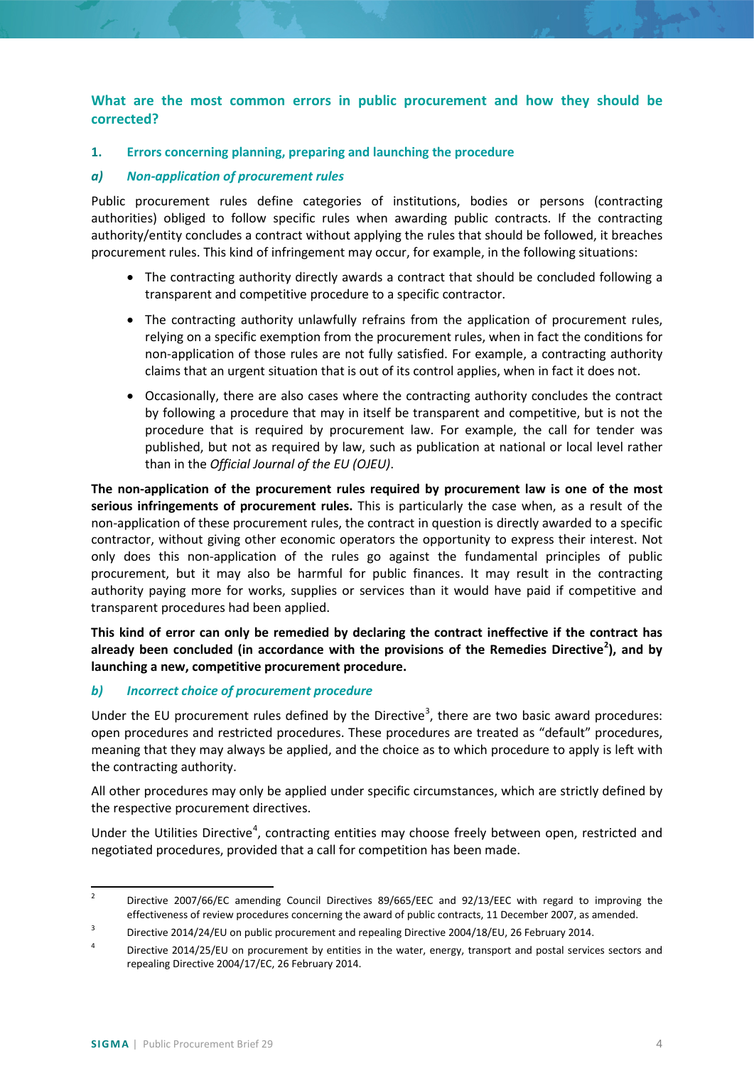## <span id="page-3-0"></span>**What are the most common errors in public procurement and how they should be corrected?**

## **1. Errors concerning planning, preparing and launching the procedure**

## *a) Non-application of procurement rules*

Public procurement rules define categories of institutions, bodies or persons (contracting authorities) obliged to follow specific rules when awarding public contracts. If the contracting authority/entity concludes a contract without applying the rules that should be followed, it breaches procurement rules. This kind of infringement may occur, for example, in the following situations:

- The contracting authority directly awards a contract that should be concluded following a transparent and competitive procedure to a specific contractor.
- The contracting authority unlawfully refrains from the application of procurement rules, relying on a specific exemption from the procurement rules, when in fact the conditions for non-application of those rules are not fully satisfied. For example, a contracting authority claims that an urgent situation that is out of its control applies, when in fact it does not.
- Occasionally, there are also cases where the contracting authority concludes the contract by following a procedure that may in itself be transparent and competitive, but is not the procedure that is required by procurement law. For example, the call for tender was published, but not as required by law, such as publication at national or local level rather than in the *Official Journal of the EU (OJEU)*.

**The non-application of the procurement rules required by procurement law is one of the most serious infringements of procurement rules.** This is particularly the case when, as a result of the non-application of these procurement rules, the contract in question is directly awarded to a specific contractor, without giving other economic operators the opportunity to express their interest. Not only does this non-application of the rules go against the fundamental principles of public procurement, but it may also be harmful for public finances. It may result in the contracting authority paying more for works, supplies or services than it would have paid if competitive and transparent procedures had been applied.

**This kind of error can only be remedied by declaring the contract ineffective if the contract has already been concluded (in accordance with the provisions of the Remedies Directive[2](#page-3-1) ), and by launching a new, competitive procurement procedure.**

## *b) Incorrect choice of procurement procedure*

Under the EU procurement rules defined by the Directive<sup>[3](#page-3-2)</sup>, there are two basic award procedures: open procedures and restricted procedures. These procedures are treated as "default" procedures, meaning that they may always be applied, and the choice as to which procedure to apply is left with the contracting authority.

All other procedures may only be applied under specific circumstances, which are strictly defined by the respective procurement directives.

Under the Utilities Directive<sup>[4](#page-3-3)</sup>, contracting entities may choose freely between open, restricted and negotiated procedures, provided that a call for competition has been made.

<span id="page-3-1"></span><sup>&</sup>lt;sup>2</sup> Directive 2007/66/EC amending Council Directives 89/665/EEC and 92/13/EEC with regard to improving the effectiveness of review procedures concerning the award of public contracts, 11 December 2007, as amended.

<span id="page-3-2"></span><sup>&</sup>lt;sup>3</sup> Directive 2014/24/EU on public procurement and repealing Directive 2004/18/EU, 26 February 2014.

<span id="page-3-3"></span><sup>&</sup>lt;sup>4</sup> Directive 2014/25/EU on procurement by entities in the water, energy, transport and postal services sectors and repealing Directive 2004/17/EC, 26 February 2014.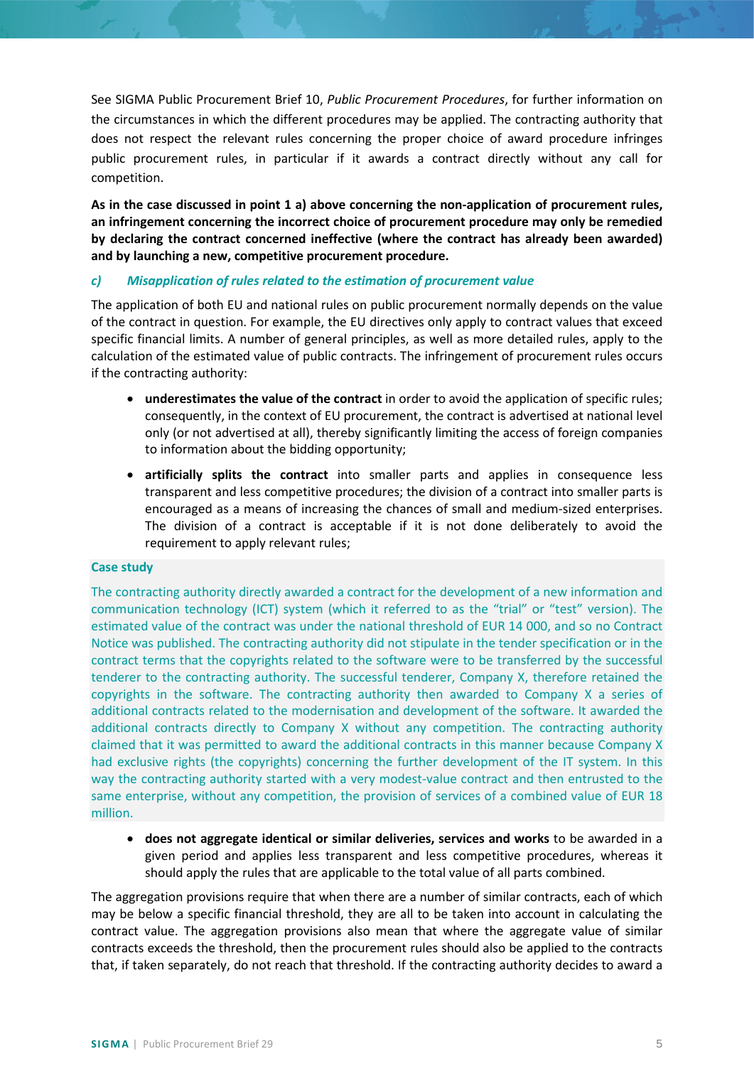See SIGMA Public Procurement Brief 10, *Public Procurement Procedures*, for further information on the circumstances in which the different procedures may be applied. The contracting authority that does not respect the relevant rules concerning the proper choice of award procedure infringes public procurement rules, in particular if it awards a contract directly without any call for competition.

**As in the case discussed in point 1 a) above concerning the non-application of procurement rules, an infringement concerning the incorrect choice of procurement procedure may only be remedied by declaring the contract concerned ineffective (where the contract has already been awarded) and by launching a new, competitive procurement procedure.**

## *c) Misapplication of rules related to the estimation of procurement value*

The application of both EU and national rules on public procurement normally depends on the value of the contract in question. For example, the EU directives only apply to contract values that exceed specific financial limits. A number of general principles, as well as more detailed rules, apply to the calculation of the estimated value of public contracts. The infringement of procurement rules occurs if the contracting authority:

- **underestimates the value of the contract** in order to avoid the application of specific rules; consequently, in the context of EU procurement, the contract is advertised at national level only (or not advertised at all), thereby significantly limiting the access of foreign companies to information about the bidding opportunity;
- **artificially splits the contract** into smaller parts and applies in consequence less transparent and less competitive procedures; the division of a contract into smaller parts is encouraged as a means of increasing the chances of small and medium-sized enterprises. The division of a contract is acceptable if it is not done deliberately to avoid the requirement to apply relevant rules;

#### **Case study**

The contracting authority directly awarded a contract for the development of a new information and communication technology (ICT) system (which it referred to as the "trial" or "test" version). The estimated value of the contract was under the national threshold of EUR 14 000, and so no Contract Notice was published. The contracting authority did not stipulate in the tender specification or in the contract terms that the copyrights related to the software were to be transferred by the successful tenderer to the contracting authority. The successful tenderer, Company X, therefore retained the copyrights in the software. The contracting authority then awarded to Company X a series of additional contracts related to the modernisation and development of the software. It awarded the additional contracts directly to Company X without any competition. The contracting authority claimed that it was permitted to award the additional contracts in this manner because Company X had exclusive rights (the copyrights) concerning the further development of the IT system. In this way the contracting authority started with a very modest-value contract and then entrusted to the same enterprise, without any competition, the provision of services of a combined value of EUR 18 million.

• **does not aggregate identical or similar deliveries, services and works** to be awarded in a given period and applies less transparent and less competitive procedures, whereas it should apply the rules that are applicable to the total value of all parts combined.

The aggregation provisions require that when there are a number of similar contracts, each of which may be below a specific financial threshold, they are all to be taken into account in calculating the contract value. The aggregation provisions also mean that where the aggregate value of similar contracts exceeds the threshold, then the procurement rules should also be applied to the contracts that, if taken separately, do not reach that threshold. If the contracting authority decides to award a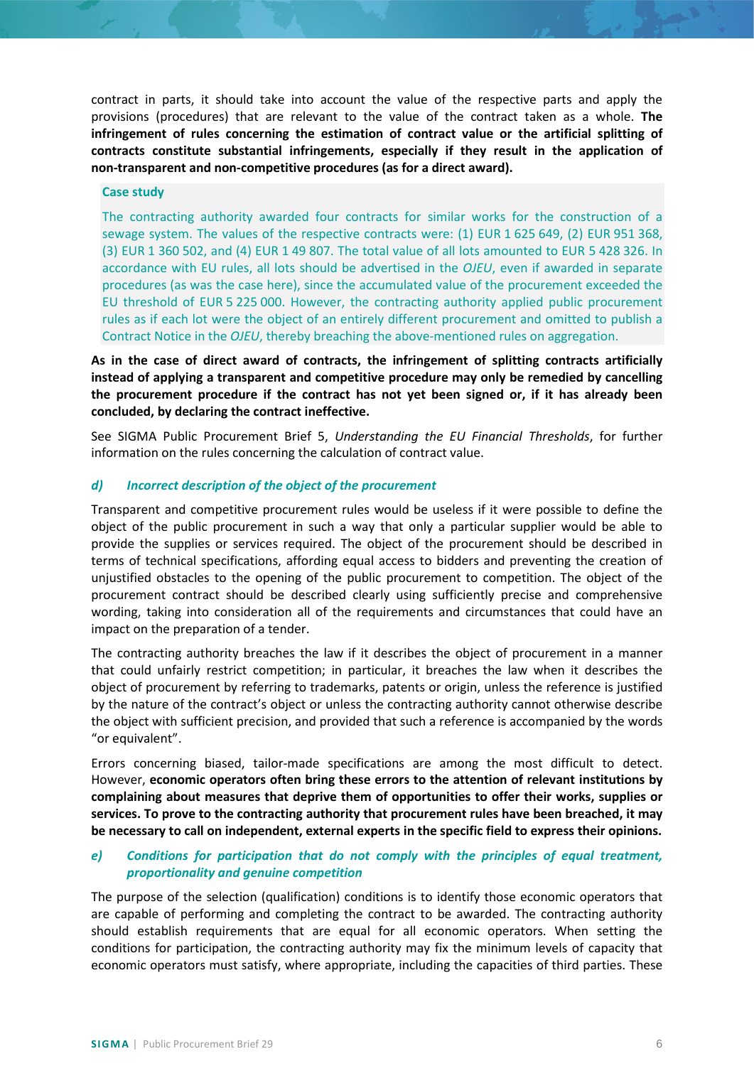contract in parts, it should take into account the value of the respective parts and apply the provisions (procedures) that are relevant to the value of the contract taken as a whole. **The infringement of rules concerning the estimation of contract value or the artificial splitting of contracts constitute substantial infringements, especially if they result in the application of non-transparent and non-competitive procedures (as for a direct award).**

#### **Case study**

The contracting authority awarded four contracts for similar works for the construction of a sewage system. The values of the respective contracts were: (1) EUR 1 625 649, (2) EUR 951 368, (3) EUR 1 360 502, and (4) EUR 1 49 807. The total value of all lots amounted to EUR 5 428 326. In accordance with EU rules, all lots should be advertised in the *OJEU*, even if awarded in separate procedures (as was the case here), since the accumulated value of the procurement exceeded the EU threshold of EUR 5 225 000. However, the contracting authority applied public procurement rules as if each lot were the object of an entirely different procurement and omitted to publish a Contract Notice in the *OJEU*, thereby breaching the above-mentioned rules on aggregation.

**As in the case of direct award of contracts, the infringement of splitting contracts artificially instead of applying a transparent and competitive procedure may only be remedied by cancelling the procurement procedure if the contract has not yet been signed or, if it has already been concluded, by declaring the contract ineffective.**

See SIGMA Public Procurement Brief 5, *Understanding the EU Financial Thresholds*, for further information on the rules concerning the calculation of contract value.

## *d) Incorrect description of the object of the procurement*

Transparent and competitive procurement rules would be useless if it were possible to define the object of the public procurement in such a way that only a particular supplier would be able to provide the supplies or services required. The object of the procurement should be described in terms of technical specifications, affording equal access to bidders and preventing the creation of unjustified obstacles to the opening of the public procurement to competition. The object of the procurement contract should be described clearly using sufficiently precise and comprehensive wording, taking into consideration all of the requirements and circumstances that could have an impact on the preparation of a tender.

The contracting authority breaches the law if it describes the object of procurement in a manner that could unfairly restrict competition; in particular, it breaches the law when it describes the object of procurement by referring to trademarks, patents or origin, unless the reference is justified by the nature of the contract's object or unless the contracting authority cannot otherwise describe the object with sufficient precision, and provided that such a reference is accompanied by the words "or equivalent".

Errors concerning biased, tailor-made specifications are among the most difficult to detect. However, **economic operators often bring these errors to the attention of relevant institutions by complaining about measures that deprive them of opportunities to offer their works, supplies or services. To prove to the contracting authority that procurement rules have been breached, it may be necessary to call on independent, external experts in the specific field to express their opinions.**

## *e) Conditions for participation that do not comply with the principles of equal treatment, proportionality and genuine competition*

The purpose of the selection (qualification) conditions is to identify those economic operators that are capable of performing and completing the contract to be awarded. The contracting authority should establish requirements that are equal for all economic operators. When setting the conditions for participation, the contracting authority may fix the minimum levels of capacity that economic operators must satisfy, where appropriate, including the capacities of third parties. These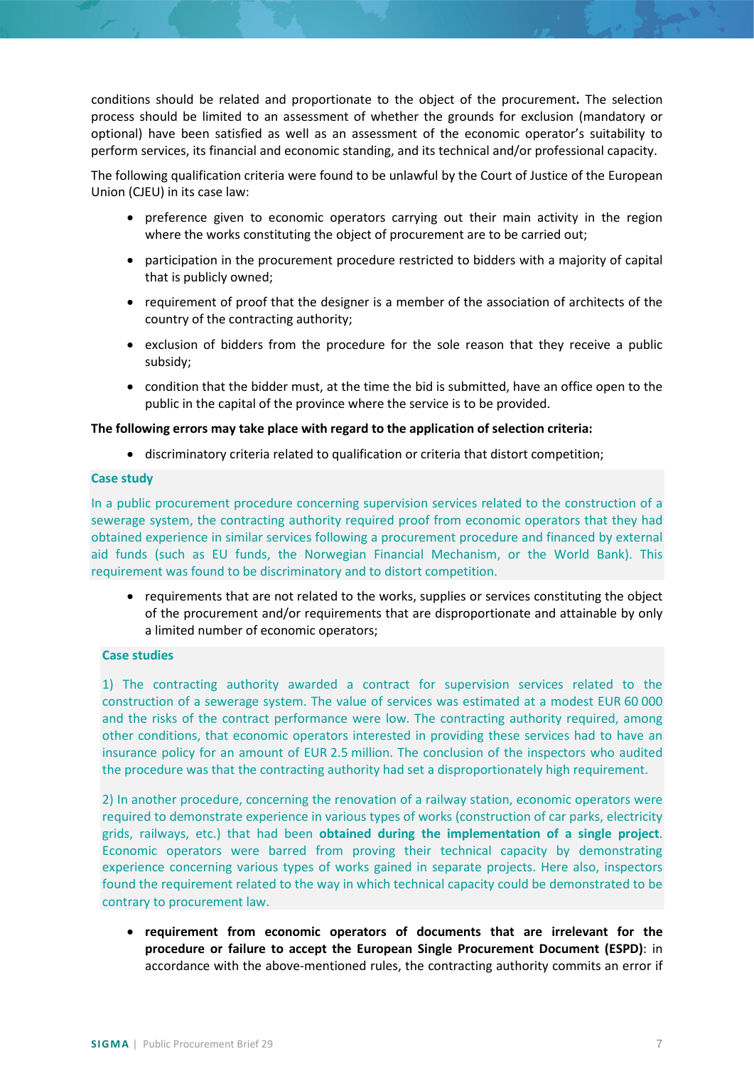conditions should be related and proportionate to the object of the procurement**.** The selection process should be limited to an assessment of whether the grounds for exclusion (mandatory or optional) have been satisfied as well as an assessment of the economic operator's suitability to perform services, its financial and economic standing, and its technical and/or professional capacity.

The following qualification criteria were found to be unlawful by the Court of Justice of the European Union (CJEU) in its case law:

- preference given to economic operators carrying out their main activity in the region where the works constituting the object of procurement are to be carried out;
- participation in the procurement procedure restricted to bidders with a majority of capital that is publicly owned;
- requirement of proof that the designer is a member of the association of architects of the country of the contracting authority;
- exclusion of bidders from the procedure for the sole reason that they receive a public subsidy;
- condition that the bidder must, at the time the bid is submitted, have an office open to the public in the capital of the province where the service is to be provided.

#### **The following errors may take place with regard to the application of selection criteria:**

• discriminatory criteria related to qualification or criteria that distort competition;

#### **Case study**

In a public procurement procedure concerning supervision services related to the construction of a sewerage system, the contracting authority required proof from economic operators that they had obtained experience in similar services following a procurement procedure and financed by external aid funds (such as EU funds, the Norwegian Financial Mechanism, or the World Bank). This requirement was found to be discriminatory and to distort competition.

• requirements that are not related to the works, supplies or services constituting the object of the procurement and/or requirements that are disproportionate and attainable by only a limited number of economic operators;

#### **Case studies**

1) The contracting authority awarded a contract for supervision services related to the construction of a sewerage system. The value of services was estimated at a modest EUR 60 000 and the risks of the contract performance were low. The contracting authority required, among other conditions, that economic operators interested in providing these services had to have an insurance policy for an amount of EUR 2.5 million. The conclusion of the inspectors who audited the procedure was that the contracting authority had set a disproportionately high requirement.

2) In another procedure, concerning the renovation of a railway station, economic operators were required to demonstrate experience in various types of works (construction of car parks, electricity grids, railways, etc.) that had been **obtained during the implementation of a single project**. Economic operators were barred from proving their technical capacity by demonstrating experience concerning various types of works gained in separate projects. Here also, inspectors found the requirement related to the way in which technical capacity could be demonstrated to be contrary to procurement law.

• **requirement from economic operators of documents that are irrelevant for the procedure or failure to accept the European Single Procurement Document (ESPD)**: in accordance with the above-mentioned rules, the contracting authority commits an error if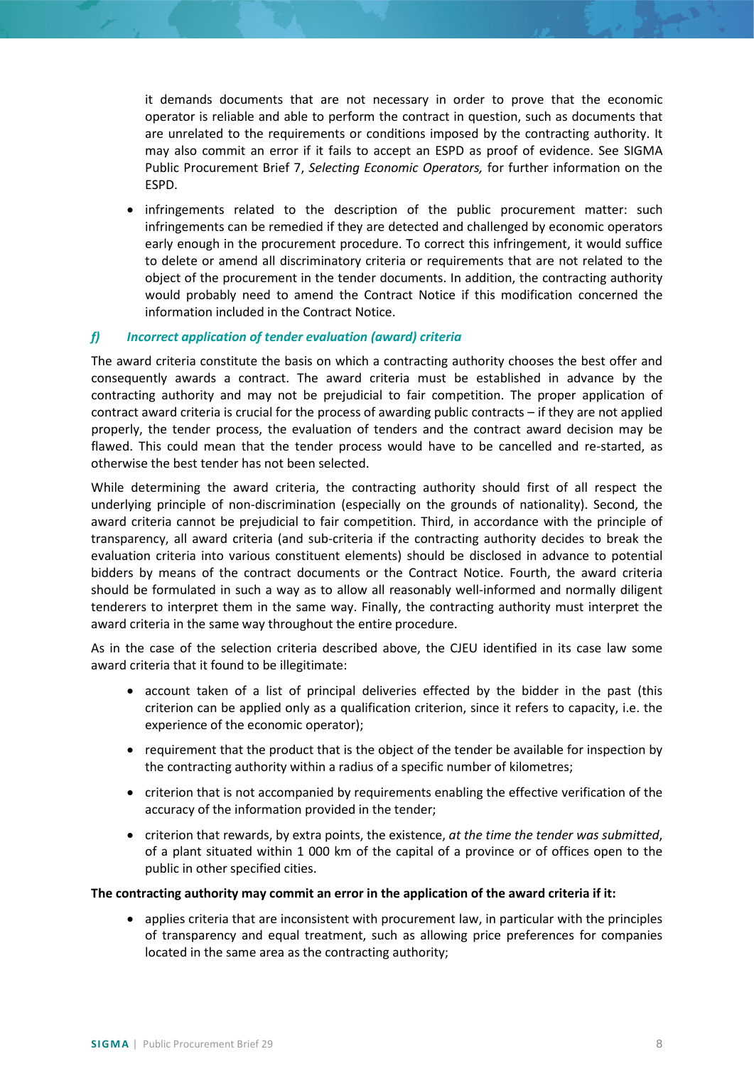it demands documents that are not necessary in order to prove that the economic operator is reliable and able to perform the contract in question, such as documents that are unrelated to the requirements or conditions imposed by the contracting authority. It may also commit an error if it fails to accept an ESPD as proof of evidence. See SIGMA Public Procurement Brief 7, *Selecting Economic Operators,* for further information on the ESPD.

• infringements related to the description of the public procurement matter: such infringements can be remedied if they are detected and challenged by economic operators early enough in the procurement procedure. To correct this infringement, it would suffice to delete or amend all discriminatory criteria or requirements that are not related to the object of the procurement in the tender documents. In addition, the contracting authority would probably need to amend the Contract Notice if this modification concerned the information included in the Contract Notice.

## *f) Incorrect application of tender evaluation (award) criteria*

The award criteria constitute the basis on which a contracting authority chooses the best offer and consequently awards a contract. The award criteria must be established in advance by the contracting authority and may not be prejudicial to fair competition. The proper application of contract award criteria is crucial for the process of awarding public contracts – if they are not applied properly, the tender process, the evaluation of tenders and the contract award decision may be flawed. This could mean that the tender process would have to be cancelled and re-started, as otherwise the best tender has not been selected.

While determining the award criteria, the contracting authority should first of all respect the underlying principle of non-discrimination (especially on the grounds of nationality). Second, the award criteria cannot be prejudicial to fair competition. Third, in accordance with the principle of transparency, all award criteria (and sub-criteria if the contracting authority decides to break the evaluation criteria into various constituent elements) should be disclosed in advance to potential bidders by means of the contract documents or the Contract Notice. Fourth, the award criteria should be formulated in such a way as to allow all reasonably well-informed and normally diligent tenderers to interpret them in the same way. Finally, the contracting authority must interpret the award criteria in the same way throughout the entire procedure.

As in the case of the selection criteria described above, the CJEU identified in its case law some award criteria that it found to be illegitimate:

- account taken of a list of principal deliveries effected by the bidder in the past (this criterion can be applied only as a qualification criterion, since it refers to capacity, i.e. the experience of the economic operator);
- requirement that the product that is the object of the tender be available for inspection by the contracting authority within a radius of a specific number of kilometres;
- criterion that is not accompanied by requirements enabling the effective verification of the accuracy of the information provided in the tender;
- criterion that rewards, by extra points, the existence, *at the time the tender was submitted*, of a plant situated within 1 000 km of the capital of a province or of offices open to the public in other specified cities.

#### **The contracting authority may commit an error in the application of the award criteria if it:**

• applies criteria that are inconsistent with procurement law, in particular with the principles of transparency and equal treatment, such as allowing price preferences for companies located in the same area as the contracting authority;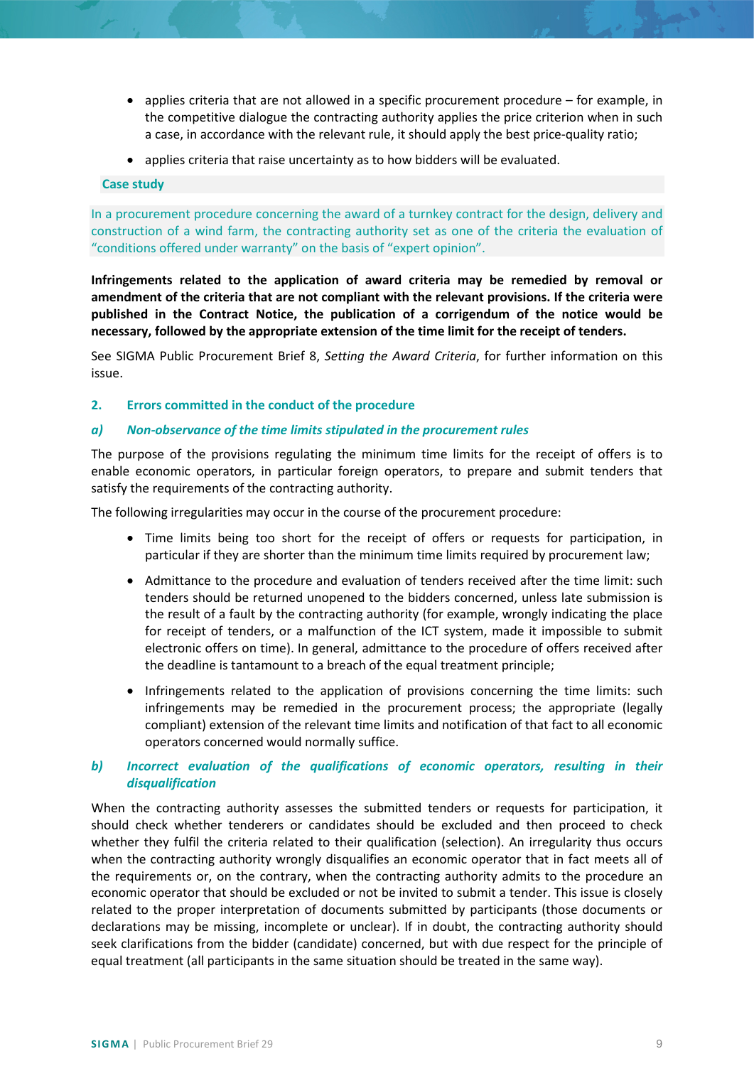- applies criteria that are not allowed in a specific procurement procedure for example, in the competitive dialogue the contracting authority applies the price criterion when in such a case, in accordance with the relevant rule, it should apply the best price-quality ratio;
- applies criteria that raise uncertainty as to how bidders will be evaluated.

#### **Case study**

In a procurement procedure concerning the award of a turnkey contract for the design, delivery and construction of a wind farm, the contracting authority set as one of the criteria the evaluation of "conditions offered under warranty" on the basis of "expert opinion".

**Infringements related to the application of award criteria may be remedied by removal or amendment of the criteria that are not compliant with the relevant provisions. If the criteria were published in the Contract Notice, the publication of a corrigendum of the notice would be necessary, followed by the appropriate extension of the time limit for the receipt of tenders.**

See SIGMA Public Procurement Brief 8, *Setting the Award Criteria*, for further information on this issue.

#### **2. Errors committed in the conduct of the procedure**

#### *a) Non-observance of the time limits stipulated in the procurement rules*

The purpose of the provisions regulating the minimum time limits for the receipt of offers is to enable economic operators, in particular foreign operators, to prepare and submit tenders that satisfy the requirements of the contracting authority.

The following irregularities may occur in the course of the procurement procedure:

- Time limits being too short for the receipt of offers or requests for participation, in particular if they are shorter than the minimum time limits required by procurement law;
- Admittance to the procedure and evaluation of tenders received after the time limit: such tenders should be returned unopened to the bidders concerned, unless late submission is the result of a fault by the contracting authority (for example, wrongly indicating the place for receipt of tenders, or a malfunction of the ICT system, made it impossible to submit electronic offers on time). In general, admittance to the procedure of offers received after the deadline is tantamount to a breach of the equal treatment principle;
- Infringements related to the application of provisions concerning the time limits: such infringements may be remedied in the procurement process; the appropriate (legally compliant) extension of the relevant time limits and notification of that fact to all economic operators concerned would normally suffice.

## *b) Incorrect evaluation of the qualifications of economic operators, resulting in their disqualification*

When the contracting authority assesses the submitted tenders or requests for participation, it should check whether tenderers or candidates should be excluded and then proceed to check whether they fulfil the criteria related to their qualification (selection). An irregularity thus occurs when the contracting authority wrongly disqualifies an economic operator that in fact meets all of the requirements or, on the contrary, when the contracting authority admits to the procedure an economic operator that should be excluded or not be invited to submit a tender. This issue is closely related to the proper interpretation of documents submitted by participants (those documents or declarations may be missing, incomplete or unclear). If in doubt, the contracting authority should seek clarifications from the bidder (candidate) concerned, but with due respect for the principle of equal treatment (all participants in the same situation should be treated in the same way).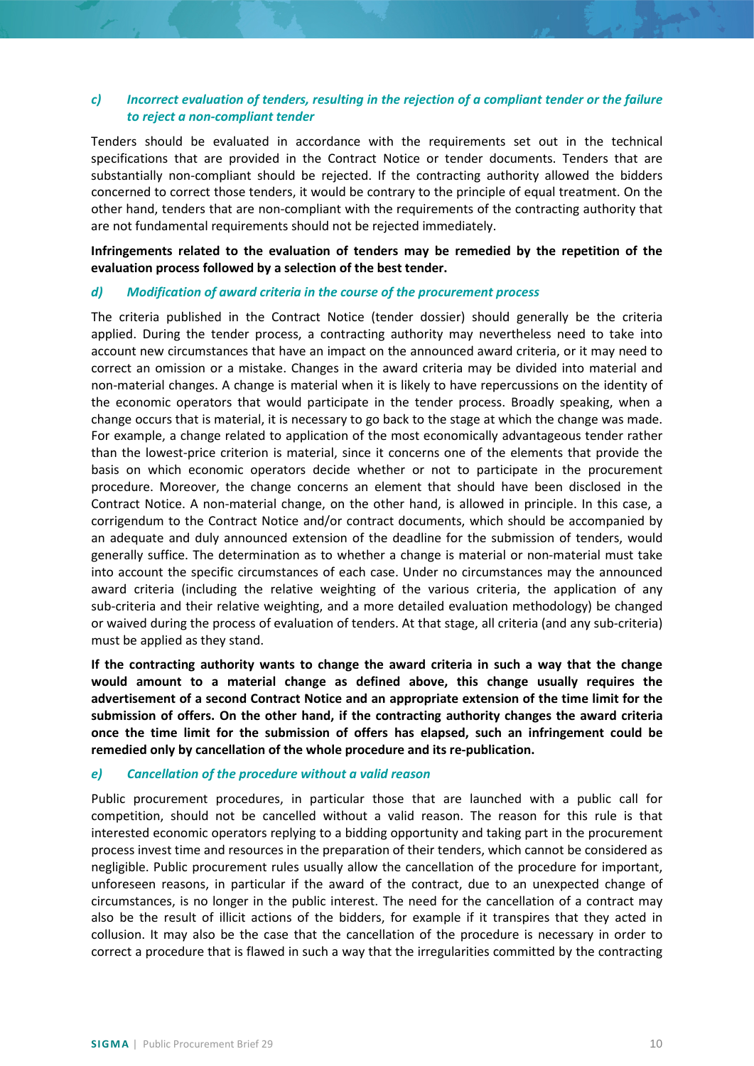## *c) Incorrect evaluation of tenders, resulting in the rejection of a compliant tender or the failure to reject a non-compliant tender*

Tenders should be evaluated in accordance with the requirements set out in the technical specifications that are provided in the Contract Notice or tender documents. Tenders that are substantially non-compliant should be rejected. If the contracting authority allowed the bidders concerned to correct those tenders, it would be contrary to the principle of equal treatment. On the other hand, tenders that are non-compliant with the requirements of the contracting authority that are not fundamental requirements should not be rejected immediately.

**Infringements related to the evaluation of tenders may be remedied by the repetition of the evaluation process followed by a selection of the best tender.**

#### *d) Modification of award criteria in the course of the procurement process*

The criteria published in the Contract Notice (tender dossier) should generally be the criteria applied. During the tender process, a contracting authority may nevertheless need to take into account new circumstances that have an impact on the announced award criteria, or it may need to correct an omission or a mistake. Changes in the award criteria may be divided into material and non-material changes. A change is material when it is likely to have repercussions on the identity of the economic operators that would participate in the tender process. Broadly speaking, when a change occurs that is material, it is necessary to go back to the stage at which the change was made. For example, a change related to application of the most economically advantageous tender rather than the lowest-price criterion is material, since it concerns one of the elements that provide the basis on which economic operators decide whether or not to participate in the procurement procedure. Moreover, the change concerns an element that should have been disclosed in the Contract Notice. A non-material change, on the other hand, is allowed in principle. In this case, a corrigendum to the Contract Notice and/or contract documents, which should be accompanied by an adequate and duly announced extension of the deadline for the submission of tenders, would generally suffice. The determination as to whether a change is material or non-material must take into account the specific circumstances of each case. Under no circumstances may the announced award criteria (including the relative weighting of the various criteria, the application of any sub-criteria and their relative weighting, and a more detailed evaluation methodology) be changed or waived during the process of evaluation of tenders. At that stage, all criteria (and any sub-criteria) must be applied as they stand.

**If the contracting authority wants to change the award criteria in such a way that the change would amount to a material change as defined above, this change usually requires the advertisement of a second Contract Notice and an appropriate extension of the time limit for the submission of offers. On the other hand, if the contracting authority changes the award criteria once the time limit for the submission of offers has elapsed, such an infringement could be remedied only by cancellation of the whole procedure and its re-publication.**

## *e) Cancellation of the procedure without a valid reason*

Public procurement procedures, in particular those that are launched with a public call for competition, should not be cancelled without a valid reason. The reason for this rule is that interested economic operators replying to a bidding opportunity and taking part in the procurement process invest time and resources in the preparation of their tenders, which cannot be considered as negligible. Public procurement rules usually allow the cancellation of the procedure for important, unforeseen reasons, in particular if the award of the contract, due to an unexpected change of circumstances, is no longer in the public interest. The need for the cancellation of a contract may also be the result of illicit actions of the bidders, for example if it transpires that they acted in collusion. It may also be the case that the cancellation of the procedure is necessary in order to correct a procedure that is flawed in such a way that the irregularities committed by the contracting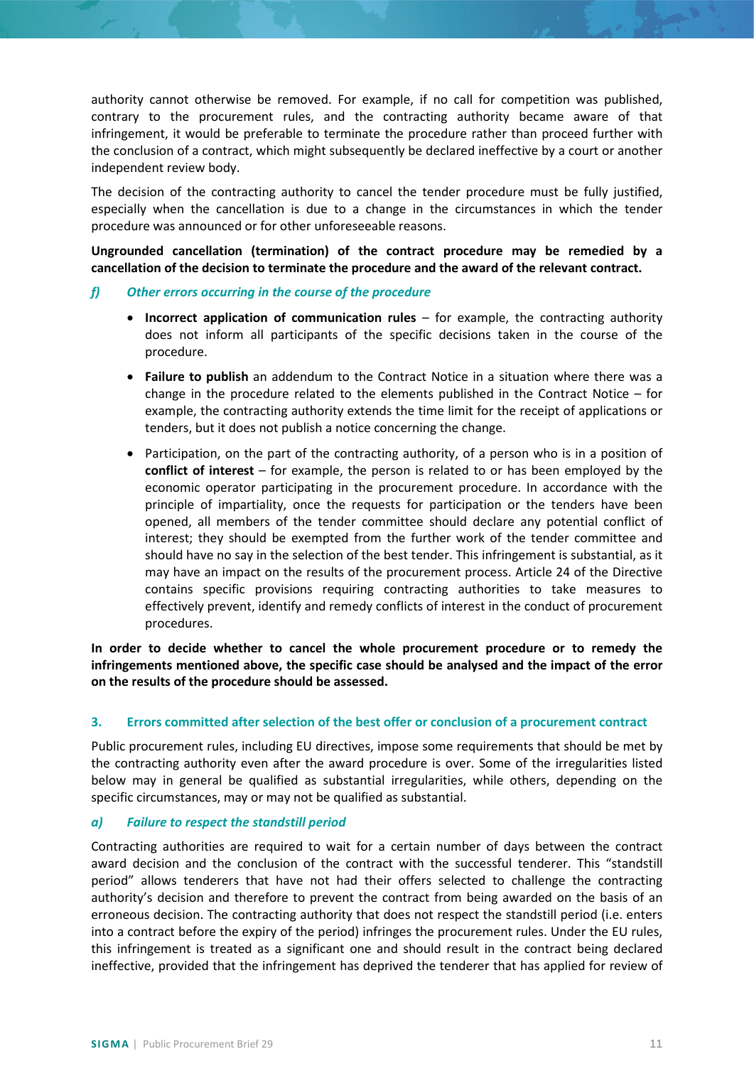authority cannot otherwise be removed. For example, if no call for competition was published, contrary to the procurement rules, and the contracting authority became aware of that infringement, it would be preferable to terminate the procedure rather than proceed further with the conclusion of a contract, which might subsequently be declared ineffective by a court or another independent review body.

The decision of the contracting authority to cancel the tender procedure must be fully justified, especially when the cancellation is due to a change in the circumstances in which the tender procedure was announced or for other unforeseeable reasons.

**Ungrounded cancellation (termination) of the contract procedure may be remedied by a cancellation of the decision to terminate the procedure and the award of the relevant contract.**

#### *f) Other errors occurring in the course of the procedure*

- **Incorrect application of communication rules** for example, the contracting authority does not inform all participants of the specific decisions taken in the course of the procedure.
- **Failure to publish** an addendum to the Contract Notice in a situation where there was a change in the procedure related to the elements published in the Contract Notice – for example, the contracting authority extends the time limit for the receipt of applications or tenders, but it does not publish a notice concerning the change.
- Participation, on the part of the contracting authority, of a person who is in a position of **conflict of interest** – for example, the person is related to or has been employed by the economic operator participating in the procurement procedure. In accordance with the principle of impartiality, once the requests for participation or the tenders have been opened, all members of the tender committee should declare any potential conflict of interest; they should be exempted from the further work of the tender committee and should have no say in the selection of the best tender. This infringement is substantial, as it may have an impact on the results of the procurement process. Article 24 of the Directive contains specific provisions requiring contracting authorities to take measures to effectively prevent, identify and remedy conflicts of interest in the conduct of procurement procedures.

**In order to decide whether to cancel the whole procurement procedure or to remedy the infringements mentioned above, the specific case should be analysed and the impact of the error on the results of the procedure should be assessed.** 

## **3. Errors committed after selection of the best offer or conclusion of a procurement contract**

Public procurement rules, including EU directives, impose some requirements that should be met by the contracting authority even after the award procedure is over. Some of the irregularities listed below may in general be qualified as substantial irregularities, while others, depending on the specific circumstances, may or may not be qualified as substantial.

#### *a) Failure to respect the standstill period*

Contracting authorities are required to wait for a certain number of days between the contract award decision and the conclusion of the contract with the successful tenderer. This "standstill period" allows tenderers that have not had their offers selected to challenge the contracting authority's decision and therefore to prevent the contract from being awarded on the basis of an erroneous decision. The contracting authority that does not respect the standstill period (i.e. enters into a contract before the expiry of the period) infringes the procurement rules. Under the EU rules, this infringement is treated as a significant one and should result in the contract being declared ineffective, provided that the infringement has deprived the tenderer that has applied for review of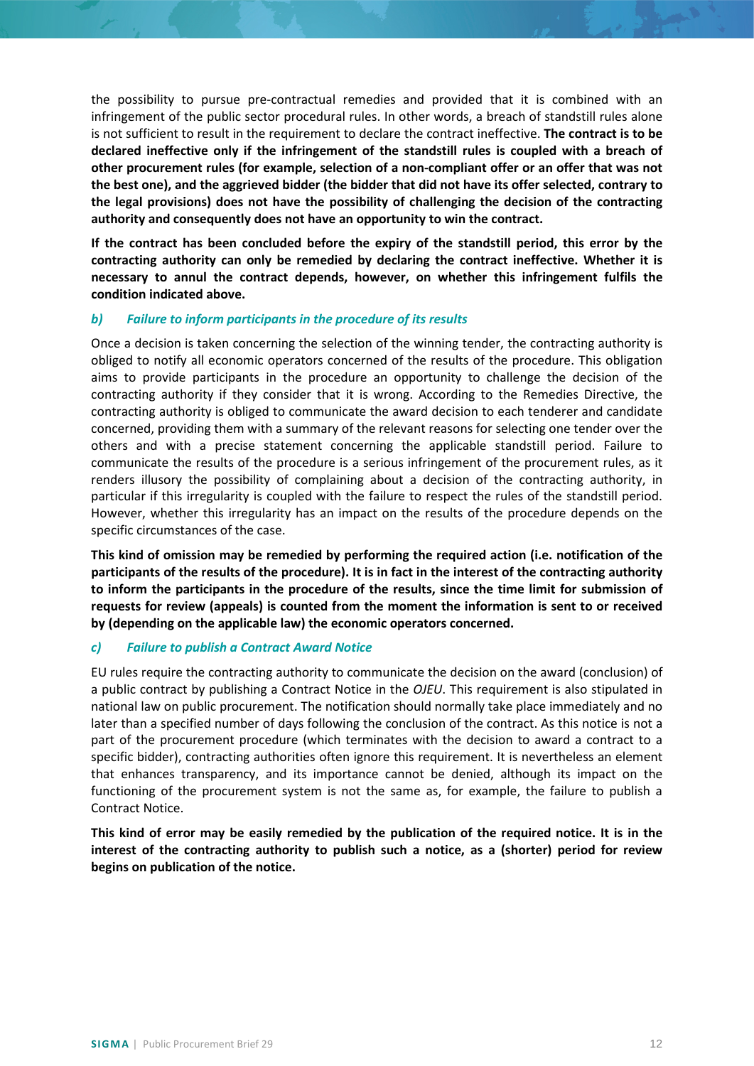the possibility to pursue pre-contractual remedies and provided that it is combined with an infringement of the public sector procedural rules. In other words, a breach of standstill rules alone is not sufficient to result in the requirement to declare the contract ineffective. **The contract is to be declared ineffective only if the infringement of the standstill rules is coupled with a breach of other procurement rules (for example, selection of a non-compliant offer or an offer that was not the best one), and the aggrieved bidder (the bidder that did not have its offer selected, contrary to the legal provisions) does not have the possibility of challenging the decision of the contracting authority and consequently does not have an opportunity to win the contract.**

**If the contract has been concluded before the expiry of the standstill period, this error by the contracting authority can only be remedied by declaring the contract ineffective. Whether it is necessary to annul the contract depends, however, on whether this infringement fulfils the condition indicated above.**

## *b) Failure to inform participants in the procedure of its results*

Once a decision is taken concerning the selection of the winning tender, the contracting authority is obliged to notify all economic operators concerned of the results of the procedure. This obligation aims to provide participants in the procedure an opportunity to challenge the decision of the contracting authority if they consider that it is wrong. According to the Remedies Directive, the contracting authority is obliged to communicate the award decision to each tenderer and candidate concerned, providing them with a summary of the relevant reasons for selecting one tender over the others and with a precise statement concerning the applicable standstill period. Failure to communicate the results of the procedure is a serious infringement of the procurement rules, as it renders illusory the possibility of complaining about a decision of the contracting authority, in particular if this irregularity is coupled with the failure to respect the rules of the standstill period. However, whether this irregularity has an impact on the results of the procedure depends on the specific circumstances of the case.

**This kind of omission may be remedied by performing the required action (i.e. notification of the participants of the results of the procedure). It is in fact in the interest of the contracting authority to inform the participants in the procedure of the results, since the time limit for submission of requests for review (appeals) is counted from the moment the information is sent to or received by (depending on the applicable law) the economic operators concerned.**

## *c) Failure to publish a Contract Award Notice*

EU rules require the contracting authority to communicate the decision on the award (conclusion) of a public contract by publishing a Contract Notice in the *OJEU*. This requirement is also stipulated in national law on public procurement. The notification should normally take place immediately and no later than a specified number of days following the conclusion of the contract. As this notice is not a part of the procurement procedure (which terminates with the decision to award a contract to a specific bidder), contracting authorities often ignore this requirement. It is nevertheless an element that enhances transparency, and its importance cannot be denied, although its impact on the functioning of the procurement system is not the same as, for example, the failure to publish a Contract Notice.

**This kind of error may be easily remedied by the publication of the required notice. It is in the interest of the contracting authority to publish such a notice, as a (shorter) period for review begins on publication of the notice.**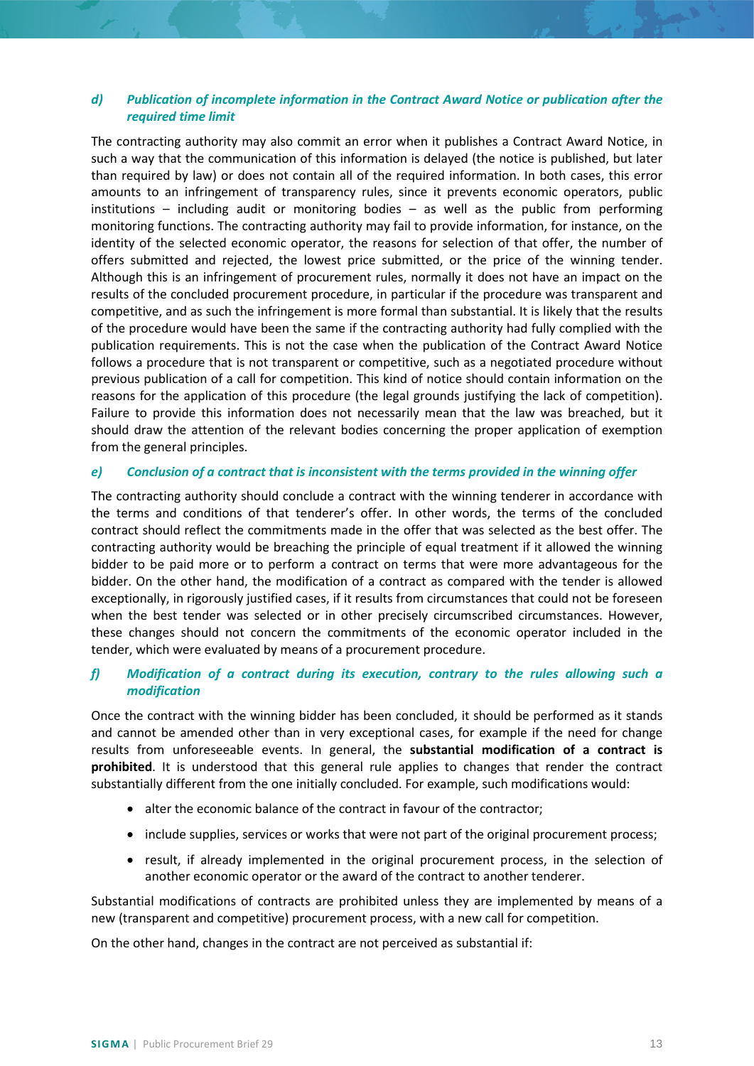## *d) Publication of incomplete information in the Contract Award Notice or publication after the required time limit*

The contracting authority may also commit an error when it publishes a Contract Award Notice, in such a way that the communication of this information is delayed (the notice is published, but later than required by law) or does not contain all of the required information. In both cases, this error amounts to an infringement of transparency rules, since it prevents economic operators, public institutions – including audit or monitoring bodies – as well as the public from performing monitoring functions. The contracting authority may fail to provide information, for instance, on the identity of the selected economic operator, the reasons for selection of that offer, the number of offers submitted and rejected, the lowest price submitted, or the price of the winning tender. Although this is an infringement of procurement rules, normally it does not have an impact on the results of the concluded procurement procedure, in particular if the procedure was transparent and competitive, and as such the infringement is more formal than substantial. It is likely that the results of the procedure would have been the same if the contracting authority had fully complied with the publication requirements. This is not the case when the publication of the Contract Award Notice follows a procedure that is not transparent or competitive, such as a negotiated procedure without previous publication of a call for competition. This kind of notice should contain information on the reasons for the application of this procedure (the legal grounds justifying the lack of competition). Failure to provide this information does not necessarily mean that the law was breached, but it should draw the attention of the relevant bodies concerning the proper application of exemption from the general principles.

## *e) Conclusion of a contract that is inconsistent with the terms provided in the winning offer*

The contracting authority should conclude a contract with the winning tenderer in accordance with the terms and conditions of that tenderer's offer. In other words, the terms of the concluded contract should reflect the commitments made in the offer that was selected as the best offer. The contracting authority would be breaching the principle of equal treatment if it allowed the winning bidder to be paid more or to perform a contract on terms that were more advantageous for the bidder. On the other hand, the modification of a contract as compared with the tender is allowed exceptionally, in rigorously justified cases, if it results from circumstances that could not be foreseen when the best tender was selected or in other precisely circumscribed circumstances. However, these changes should not concern the commitments of the economic operator included in the tender, which were evaluated by means of a procurement procedure.

## *f) Modification of a contract during its execution, contrary to the rules allowing such a modification*

Once the contract with the winning bidder has been concluded, it should be performed as it stands and cannot be amended other than in very exceptional cases, for example if the need for change results from unforeseeable events. In general, the **substantial modification of a contract is prohibited**. It is understood that this general rule applies to changes that render the contract substantially different from the one initially concluded. For example, such modifications would:

- alter the economic balance of the contract in favour of the contractor;
- include supplies, services or works that were not part of the original procurement process;
- result, if already implemented in the original procurement process, in the selection of another economic operator or the award of the contract to another tenderer.

Substantial modifications of contracts are prohibited unless they are implemented by means of a new (transparent and competitive) procurement process, with a new call for competition.

On the other hand, changes in the contract are not perceived as substantial if: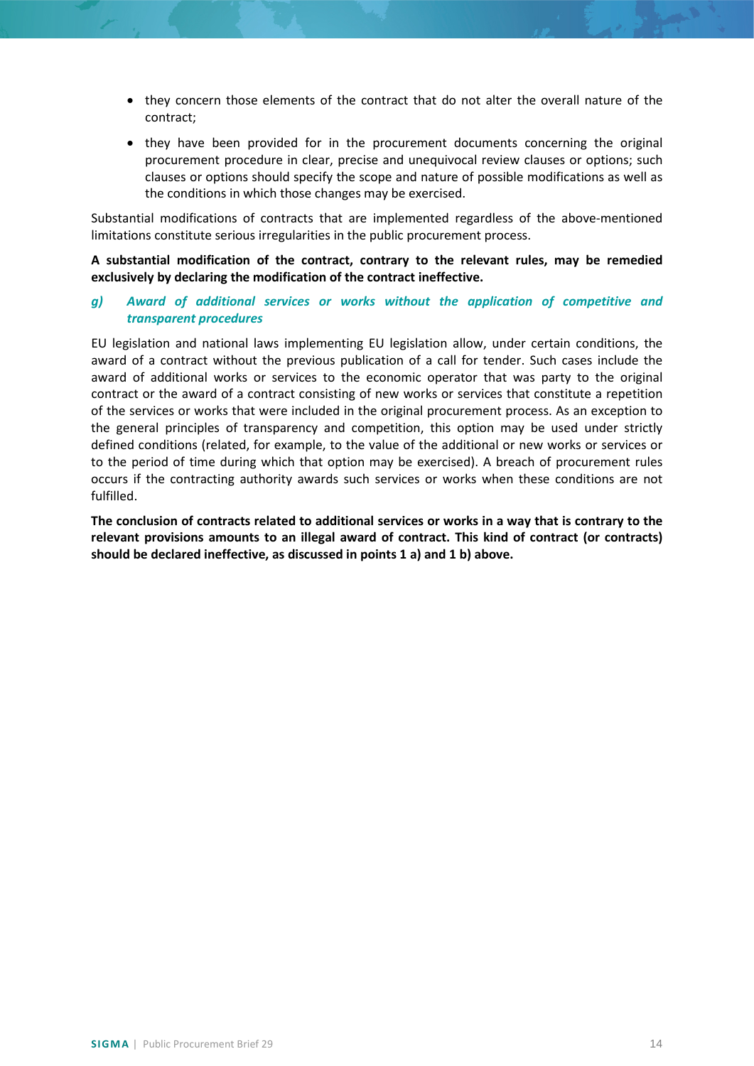- they concern those elements of the contract that do not alter the overall nature of the contract;
- they have been provided for in the procurement documents concerning the original procurement procedure in clear, precise and unequivocal review clauses or options; such clauses or options should specify the scope and nature of possible modifications as well as the conditions in which those changes may be exercised.

Substantial modifications of contracts that are implemented regardless of the above-mentioned limitations constitute serious irregularities in the public procurement process.

## **A substantial modification of the contract, contrary to the relevant rules, may be remedied exclusively by declaring the modification of the contract ineffective.**

## *g) Award of additional services or works without the application of competitive and transparent procedures*

EU legislation and national laws implementing EU legislation allow, under certain conditions, the award of a contract without the previous publication of a call for tender. Such cases include the award of additional works or services to the economic operator that was party to the original contract or the award of a contract consisting of new works or services that constitute a repetition of the services or works that were included in the original procurement process. As an exception to the general principles of transparency and competition, this option may be used under strictly defined conditions (related, for example, to the value of the additional or new works or services or to the period of time during which that option may be exercised). A breach of procurement rules occurs if the contracting authority awards such services or works when these conditions are not fulfilled.

**The conclusion of contracts related to additional services or works in a way that is contrary to the relevant provisions amounts to an illegal award of contract. This kind of contract (or contracts) should be declared ineffective, as discussed in points 1 a) and 1 b) above.**